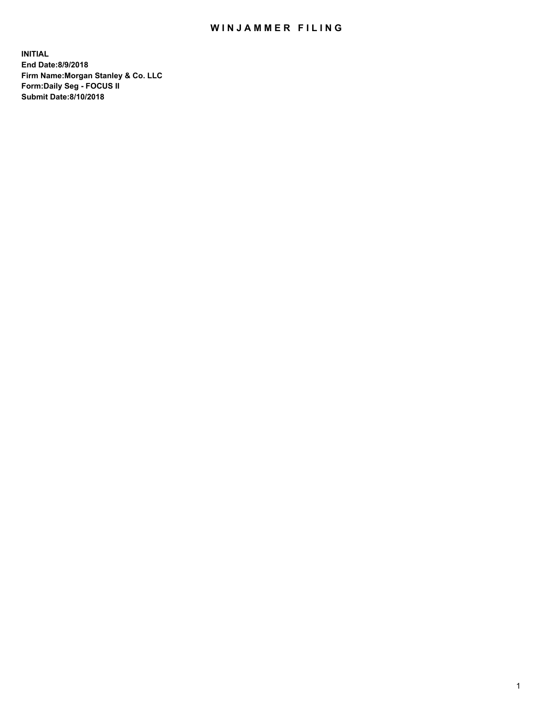## WIN JAMMER FILING

**INITIAL End Date:8/9/2018 Firm Name:Morgan Stanley & Co. LLC Form:Daily Seg - FOCUS II Submit Date:8/10/2018**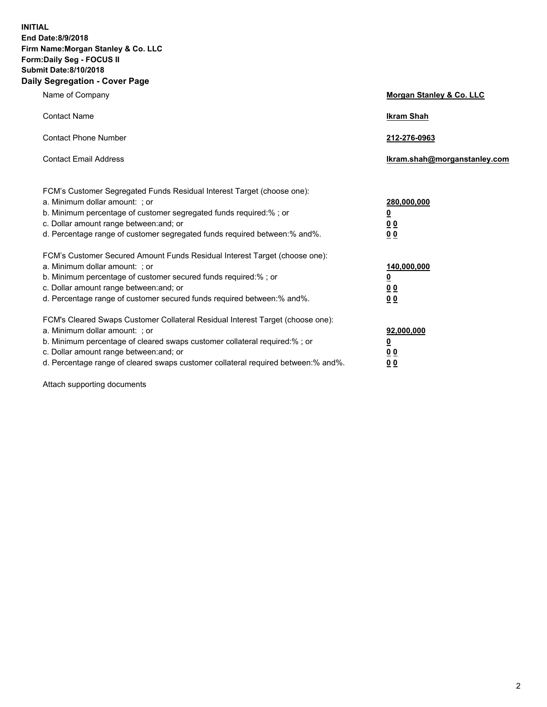**INITIAL End Date:8/9/2018 Firm Name:Morgan Stanley & Co. LLC Form:Daily Seg - FOCUS II Submit Date:8/10/2018 Daily Segregation - Cover Page**

| Name of Company                                                                                                                                                                                                                                                                                                                | Morgan Stanley & Co. LLC                               |
|--------------------------------------------------------------------------------------------------------------------------------------------------------------------------------------------------------------------------------------------------------------------------------------------------------------------------------|--------------------------------------------------------|
| <b>Contact Name</b>                                                                                                                                                                                                                                                                                                            | <b>Ikram Shah</b>                                      |
| <b>Contact Phone Number</b>                                                                                                                                                                                                                                                                                                    | 212-276-0963                                           |
| <b>Contact Email Address</b>                                                                                                                                                                                                                                                                                                   | Ikram.shah@morganstanley.com                           |
| FCM's Customer Segregated Funds Residual Interest Target (choose one):<br>a. Minimum dollar amount: ; or<br>b. Minimum percentage of customer segregated funds required:% ; or<br>c. Dollar amount range between: and; or<br>d. Percentage range of customer segregated funds required between:% and%.                         | 280,000,000<br><u>0</u><br>0 <sup>0</sup><br><u>00</u> |
| FCM's Customer Secured Amount Funds Residual Interest Target (choose one):<br>a. Minimum dollar amount: ; or<br>b. Minimum percentage of customer secured funds required:%; or<br>c. Dollar amount range between: and; or<br>d. Percentage range of customer secured funds required between:% and%.                            | 140,000,000<br><u>0</u><br>0 Q<br>0 <sup>0</sup>       |
| FCM's Cleared Swaps Customer Collateral Residual Interest Target (choose one):<br>a. Minimum dollar amount: ; or<br>b. Minimum percentage of cleared swaps customer collateral required:% ; or<br>c. Dollar amount range between: and; or<br>d. Percentage range of cleared swaps customer collateral required between:% and%. | 92,000,000<br><u>0</u><br><u>00</u><br>00              |

Attach supporting documents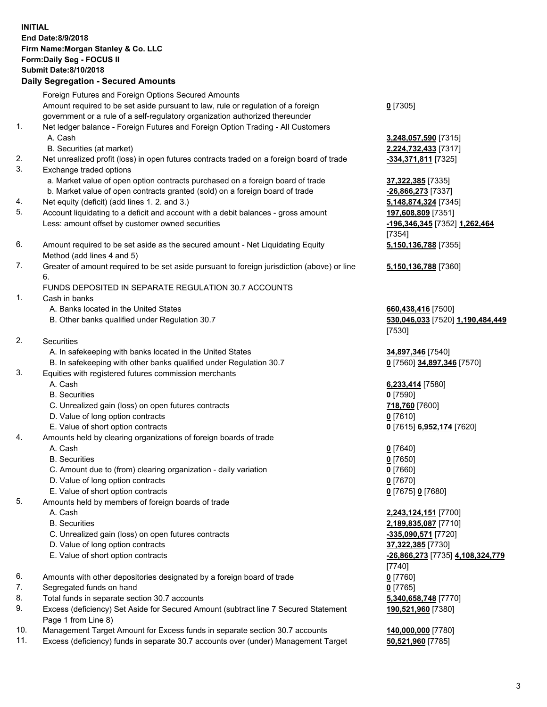## **INITIAL End Date:8/9/2018 Firm Name:Morgan Stanley & Co. LLC Form:Daily Seg - FOCUS II Submit Date:8/10/2018 Daily Segregation - Secured Amounts** Foreign Futures and Foreign Options Secured Amounts Amount required to be set aside pursuant to law, rule or regulation of a foreign government or a rule of a self-regulatory organization authorized thereunder 1. Net ledger balance - Foreign Futures and Foreign Option Trading - All Customers A. Cash **3,248,057,590** [7315] B. Securities (at market) **2,224,732,433** [7317] 2. Net unrealized profit (loss) in open futures contracts traded on a foreign board of trade **-334,371,811** [7325] 3. Exchange traded options

- a. Market value of open option contracts purchased on a foreign board of trade **37,322,385** [7335]
- b. Market value of open contracts granted (sold) on a foreign board of trade **-26,866,273** [7337]
- 4. Net equity (deficit) (add lines 1. 2. and 3.) **5,148,874,324** [7345]
- 5. Account liquidating to a deficit and account with a debit balances gross amount **197,608,809** [7351] Less: amount offset by customer owned securities **-196,346,345** [7352] **1,262,464**
- 6. Amount required to be set aside as the secured amount Net Liquidating Equity Method (add lines 4 and 5)
- 7. Greater of amount required to be set aside pursuant to foreign jurisdiction (above) or line 6.

## FUNDS DEPOSITED IN SEPARATE REGULATION 30.7 ACCOUNTS

- 1. Cash in banks
	- A. Banks located in the United States **660,438,416** [7500]
	- B. Other banks qualified under Regulation 30.7 **530,046,033** [7520] **1,190,484,449**
- 2. Securities
	- A. In safekeeping with banks located in the United States **34,897,346** [7540]
	- B. In safekeeping with other banks qualified under Regulation 30.7 **0** [7560] **34,897,346** [7570]
- 3. Equities with registered futures commission merchants
	-
	- B. Securities **0** [7590]
	- C. Unrealized gain (loss) on open futures contracts **718,760** [7600]
	- D. Value of long option contracts **0** [7610]
- E. Value of short option contracts **0** [7615] **6,952,174** [7620]
- 4. Amounts held by clearing organizations of foreign boards of trade
	- A. Cash **0** [7640]
	- B. Securities **0** [7650]
	- C. Amount due to (from) clearing organization daily variation **0** [7660]
	- D. Value of long option contracts **0** [7670]
	- E. Value of short option contracts **0** [7675] **0** [7680]
- 5. Amounts held by members of foreign boards of trade
	-
	-
	- C. Unrealized gain (loss) on open futures contracts **-335,090,571** [7720]
	- D. Value of long option contracts **37,322,385** [7730]
	- E. Value of short option contracts **-26,866,273** [7735] **4,108,324,779**
- 6. Amounts with other depositories designated by a foreign board of trade **0** [7760]
- 7. Segregated funds on hand **0** [7765]
- 8. Total funds in separate section 30.7 accounts **5,340,658,748** [7770]
- 9. Excess (deficiency) Set Aside for Secured Amount (subtract line 7 Secured Statement Page 1 from Line 8)
- 10. Management Target Amount for Excess funds in separate section 30.7 accounts **140,000,000** [7780]
- 11. Excess (deficiency) funds in separate 30.7 accounts over (under) Management Target **50,521,960** [7785]

**0** [7305]

[7354] **5,150,136,788** [7355]

**5,150,136,788** [7360]

[7530]

A. Cash **6,233,414** [7580]

 A. Cash **2,243,124,151** [7700] B. Securities **2,189,835,087** [7710] [7740] **190,521,960** [7380]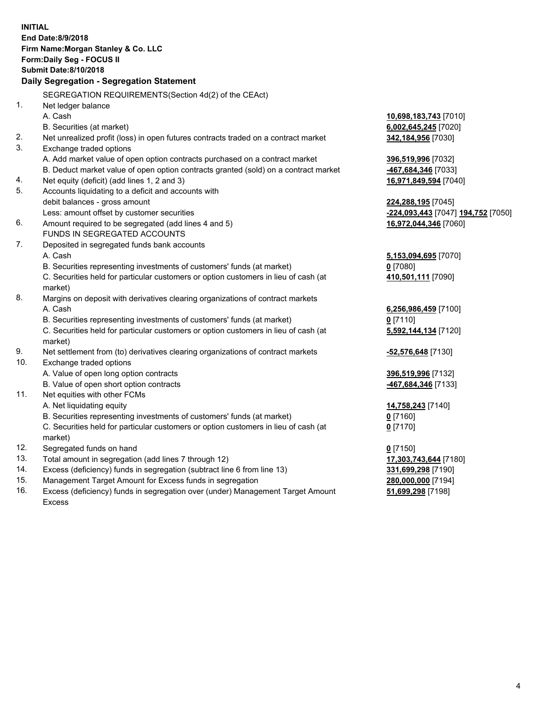|     | <b>INITIAL</b><br>End Date:8/9/2018<br>Firm Name: Morgan Stanley & Co. LLC<br>Form: Daily Seg - FOCUS II<br><b>Submit Date: 8/10/2018</b><br>Daily Segregation - Segregation Statement |                                    |
|-----|----------------------------------------------------------------------------------------------------------------------------------------------------------------------------------------|------------------------------------|
|     | SEGREGATION REQUIREMENTS(Section 4d(2) of the CEAct)                                                                                                                                   |                                    |
| 1.  | Net ledger balance                                                                                                                                                                     |                                    |
|     | A. Cash                                                                                                                                                                                | 10,698,183,743 [7010]              |
|     | B. Securities (at market)                                                                                                                                                              | 6,002,645,245 [7020]               |
| 2.  | Net unrealized profit (loss) in open futures contracts traded on a contract market                                                                                                     | 342,184,956 [7030]                 |
| 3.  | Exchange traded options                                                                                                                                                                |                                    |
|     | A. Add market value of open option contracts purchased on a contract market                                                                                                            | 396,519,996 [7032]                 |
|     | B. Deduct market value of open option contracts granted (sold) on a contract market                                                                                                    | 467,684,346 [7033]                 |
| 4.  | Net equity (deficit) (add lines 1, 2 and 3)                                                                                                                                            | 16,971,849,594 [7040]              |
| 5.  | Accounts liquidating to a deficit and accounts with                                                                                                                                    |                                    |
|     | debit balances - gross amount                                                                                                                                                          | 224,288,195 [7045]                 |
|     | Less: amount offset by customer securities                                                                                                                                             | -224,093,443 [7047] 194,752 [7050] |
| 6.  | Amount required to be segregated (add lines 4 and 5)                                                                                                                                   | 16,972,044,346 [7060]              |
|     | FUNDS IN SEGREGATED ACCOUNTS                                                                                                                                                           |                                    |
| 7.  | Deposited in segregated funds bank accounts                                                                                                                                            |                                    |
|     | A. Cash                                                                                                                                                                                | 5,153,094,695 [7070]               |
|     | B. Securities representing investments of customers' funds (at market)                                                                                                                 | $0$ [7080]                         |
|     | C. Securities held for particular customers or option customers in lieu of cash (at                                                                                                    | 410,501,111 [7090]                 |
|     | market)                                                                                                                                                                                |                                    |
| 8.  | Margins on deposit with derivatives clearing organizations of contract markets                                                                                                         |                                    |
|     | A. Cash                                                                                                                                                                                | 6,256,986,459 [7100]               |
|     | B. Securities representing investments of customers' funds (at market)                                                                                                                 | 0 [7110]                           |
|     | C. Securities held for particular customers or option customers in lieu of cash (at<br>market)                                                                                         | 5,592,144,134 [7120]               |
| 9.  | Net settlement from (to) derivatives clearing organizations of contract markets                                                                                                        | -52,576,648 [7130]                 |
| 10. | Exchange traded options                                                                                                                                                                |                                    |
|     | A. Value of open long option contracts                                                                                                                                                 | 396,519,996 [7132]                 |
|     | B. Value of open short option contracts                                                                                                                                                | -467,684,346 [7133]                |
| 11. | Net equities with other FCMs                                                                                                                                                           |                                    |
|     | A. Net liquidating equity                                                                                                                                                              | 14,758,243 [7140]                  |
|     | B. Securities representing investments of customers' funds (at market)                                                                                                                 | 0 [7160]                           |
|     | C. Securities held for particular customers or option customers in lieu of cash (at                                                                                                    | $0$ [7170]                         |
|     | market)                                                                                                                                                                                |                                    |
| 12. | Segregated funds on hand                                                                                                                                                               | $0$ [7150]                         |
| 13. | Total amount in segregation (add lines 7 through 12)                                                                                                                                   | 17,303,743,644 [7180]              |
| 14. | Excess (deficiency) funds in segregation (subtract line 6 from line 13)                                                                                                                | 331,699,298 [7190]                 |
| 15. | Management Target Amount for Excess funds in segregation                                                                                                                               | 280,000,000 [7194]                 |
| 16. | Excess (deficiency) funds in segregation over (under) Management Target Amount                                                                                                         | 51,699,298 [7198]                  |

16. Excess (deficiency) funds in segregation over (under) Management Target Amount Excess